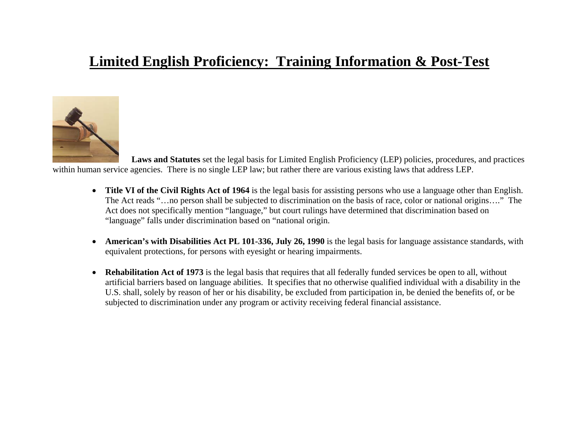## **Limited English Proficiency: Training Information & Post-Test**



 **Laws and Statutes** set the legal basis for Limited English Proficiency (LEP) policies, procedures, and practices within human service agencies. There is no single LEP law; but rather there are various existing laws that address LEP.

- **Title VI of the Civil Rights Act of 1964** is the legal basis for assisting persons who use a language other than English. The Act reads "…no person shall be subjected to discrimination on the basis of race, color or national origins…." The Act does not specifically mention "language," but court rulings have determined that discrimination based on "language" falls under discrimination based on "national origin.
- **American's with Disabilities Act PL 101-336, July 26, 1990** is the legal basis for language assistance standards, with equivalent protections, for persons with eyesight or hearing impairments.
- • **Rehabilitation Act of 1973** is the legal basis that requires that all federally funded services be open to all, without artificial barriers based on language abilities. It specifies that no otherwise qualified individual with a disability in the U.S. shall, solely by reason of her or his disability, be excluded from participation in, be denied the benefits of, or be subjected to discrimination under any program or activity receiving federal financial assistance.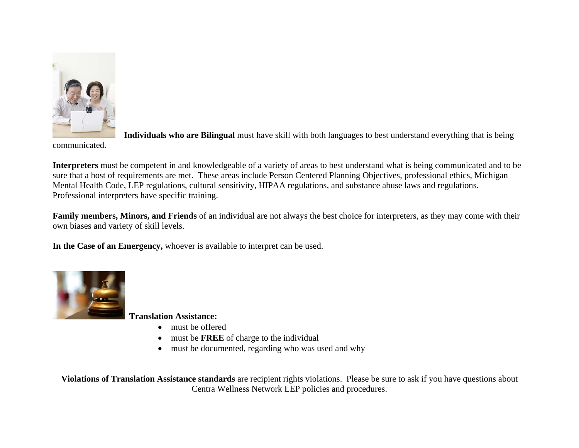

**Individuals who are Bilingual** must have skill with both languages to best understand everything that is being

communicated.

**Interpreters** must be competent in and knowledgeable of a variety of areas to best understand what is being communicated and to be sure that a host of requirements are met. These areas include Person Centered Planning Objectives, professional ethics, Michigan Mental Health Code, LEP regulations, cultural sensitivity, HIPAA regulations, and substance abuse laws and regulations. Professional interpreters have specific training.

**Family members, Minors, and Friends** of an individual are not always the best choice for interpreters, as they may come with their own biases and variety of skill levels.

**In the Case of an Emergency,** whoever is available to interpret can be used.



**Translation Assistance:** 

- must be offered
- •must be **FREE** of charge to the individual
- must be documented, regarding who was used and why

**Violations of Translation Assistance standards** are recipient rights violations. Please be sure to ask if you have questions about Centra Wellness Network LEP policies and procedures.